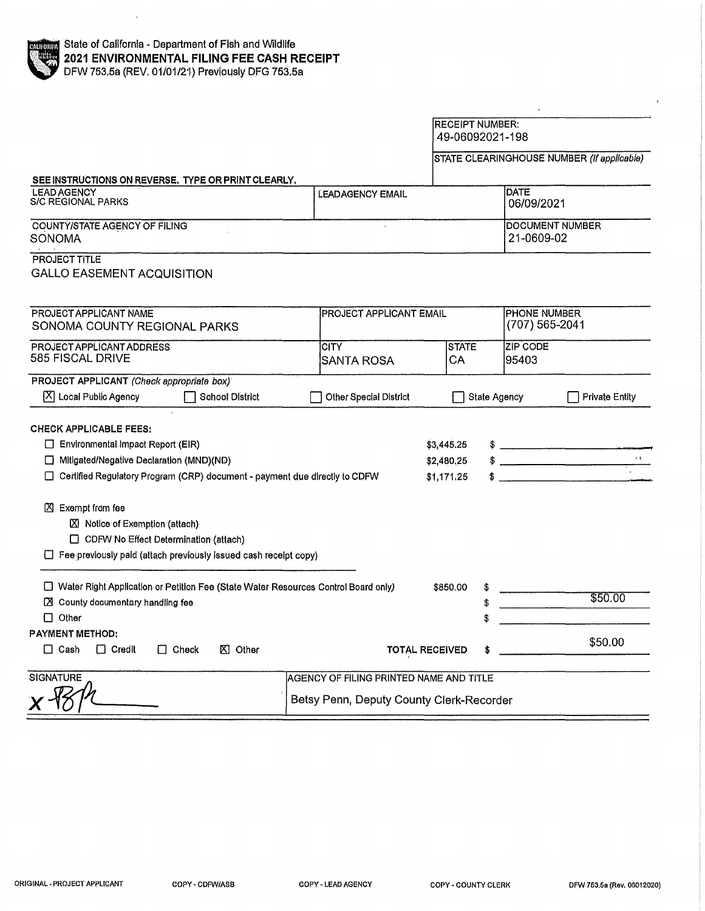

|                                                                                                                                                                                                                          |                                          |                                        | 49-06092021-198           |                                            |
|--------------------------------------------------------------------------------------------------------------------------------------------------------------------------------------------------------------------------|------------------------------------------|----------------------------------------|---------------------------|--------------------------------------------|
|                                                                                                                                                                                                                          |                                          |                                        |                           | STATE CLEARINGHOUSE NUMBER (If applicable) |
| SEE INSTRUCTIONS ON REVERSE. TYPE OR PRINT CLEARLY.                                                                                                                                                                      |                                          |                                        |                           |                                            |
| <b>LEAD AGENCY</b><br><b>S/C REGIONAL PARKS</b>                                                                                                                                                                          | <b>LEADAGENCY EMAIL</b>                  |                                        | <b>DATE</b><br>06/09/2021 |                                            |
| <b>COUNTY/STATE AGENCY OF FILING</b><br><b>SONOMA</b>                                                                                                                                                                    |                                          |                                        | 21-0609-02                | DOCUMENT NUMBER                            |
| PROJECT TITLE<br><b>GALLO EASEMENT ACQUISITION</b>                                                                                                                                                                       |                                          |                                        |                           |                                            |
| PROJECT APPLICANT NAME<br>SONOMA COUNTY REGIONAL PARKS                                                                                                                                                                   | <b>PROJECT APPLICANT EMAIL</b>           |                                        |                           | PHONE NUMBER<br>(707) 565-2041             |
| PROJECT APPLICANT ADDRESS<br>585 FISCAL DRIVE                                                                                                                                                                            | <b>CITY</b><br><b>SANTA ROSA</b>         | <b>STATE</b><br>CA                     | ZIP CODE<br>95403         |                                            |
| PROJECT APPLICANT (Check appropriate box)                                                                                                                                                                                |                                          |                                        |                           |                                            |
| $[X]$ Local Public Agency<br>School District                                                                                                                                                                             | Other Special District                   |                                        | <b>State Agency</b>       | <b>Private Entity</b>                      |
| <b>CHECK APPLICABLE FEES:</b><br>Environmental Impact Report (EIR)<br>Mitigated/Negative Declaration (MND)(ND)<br>Certified Regulatory Program (CRP) document - payment due directly to CDFW<br><b>区</b> Exempt from fee |                                          | \$3,445.25<br>\$2,480.25<br>\$1,171.25 |                           | $\frac{1}{2}$<br>$\alpha$<br>$\frac{1}{2}$ |
| ■ Notice of Exemption (attach)<br>CDFW No Effect Determination (attach)<br>Fee previously paid (attach previously issued cash receipt copy)                                                                              |                                          |                                        |                           |                                            |
| □ Water Right Application or Petition Fee (State Water Resources Control Board only)<br>$\boxtimes$ County documentary handling fee<br>$\Box$ Other                                                                      |                                          | \$850,00                               | \$<br>\$                  | \$50.00                                    |
| <b>PAYMENT METHOD:</b><br>$\Box$ Cash<br>$\Box$ Check<br>$\boxtimes$ Other<br>$\Box$ Credit                                                                                                                              |                                          | <b>TOTAL RECEIVED</b>                  |                           | \$50.00                                    |
| <b>SIGNATURE</b>                                                                                                                                                                                                         | AGENCY OF FILING PRINTED NAME AND TITLE  |                                        |                           |                                            |
|                                                                                                                                                                                                                          | Betsy Penn, Deputy County Clerk-Recorder |                                        |                           |                                            |

RECEIPT NUMBER:

 $\bar{r}$